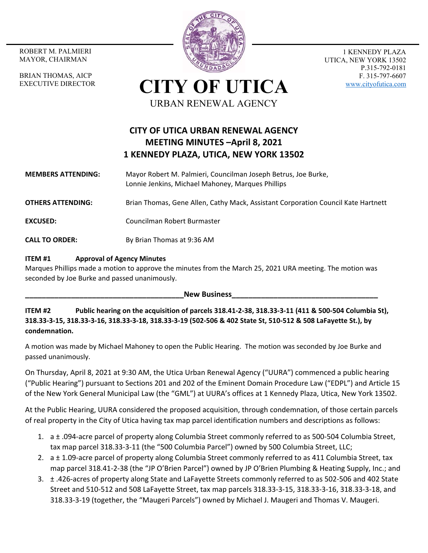MAYOR, CHAIRMAN

BRIAN THOMAS, AICP EXECUTIVE DIRECTOR



1 KENNEDY PLAZA UTICA, NEW YORK 13502 P.315-792-0181 F. 315-797-6607 www.cityofutica.com

**CITY OF UTICA** URBAN RENEWAL AGENCY

# **CITY OF UTICA URBAN RENEWAL AGENCY MEETING MINUTES –April 8, 2021 1 KENNEDY PLAZA, UTICA, NEW YORK 13502**

#### **MEMBERS ATTENDING:**  Mayor Robert M. Palmieri, Councilman Joseph Betrus, Joe Burke, Lonnie Jenkins, Michael Mahoney, Marques Phillips

**OTHERS ATTENDING:** Brian Thomas, Gene Allen, Cathy Mack, Assistant Corporation Council Kate Hartnett

**EXCUSED:** Councilman Robert Burmaster

**CALL TO ORDER:** By Brian Thomas at 9:36 AM

#### **ITEM #1 Approval of Agency Minutes**

Marques Phillips made a motion to approve the minutes from the March 25, 2021 URA meeting. The motion was seconded by Joe Burke and passed unanimously.

New Business

**ITEM #2 Public hearing on the acquisition of parcels 318.41‐2‐38, 318.33‐3‐11 (411 & 500‐504 Columbia St), 318.33‐3‐15, 318.33‐3‐16, 318.33‐3‐18, 318.33‐3‐19 (502‐506 & 402 State St, 510‐512 & 508 LaFayette St.), by condemnation.**

A motion was made by Michael Mahoney to open the Public Hearing. The motion was seconded by Joe Burke and passed unanimously.

On Thursday, April 8, 2021 at 9:30 AM, the Utica Urban Renewal Agency ("UURA") commenced a public hearing ("Public Hearing") pursuant to Sections 201 and 202 of the Eminent Domain Procedure Law ("EDPL") and Article 15 of the New York General Municipal Law (the "GML") at UURA's offices at 1 Kennedy Plaza, Utica, New York 13502.

At the Public Hearing, UURA considered the proposed acquisition, through condemnation, of those certain parcels of real property in the City of Utica having tax map parcel identification numbers and descriptions as follows:

- 1. a ± .094‐acre parcel of property along Columbia Street commonly referred to as 500‐504 Columbia Street, tax map parcel 318.33‐3‐11 (the "500 Columbia Parcel") owned by 500 Columbia Street, LLC;
- 2. a ± 1.09-acre parcel of property along Columbia Street commonly referred to as 411 Columbia Street, tax map parcel 318.41‐2‐38 (the "JP O'Brien Parcel") owned by JP O'Brien Plumbing & Heating Supply, Inc.; and
- 3. ± .426‐acres of property along State and LaFayette Streets commonly referred to as 502‐506 and 402 State Street and 510‐512 and 508 LaFayette Street, tax map parcels 318.33‐3‐15, 318.33‐3‐16, 318.33‐3‐18, and 318.33‐3‐19 (together, the "Maugeri Parcels") owned by Michael J. Maugeri and Thomas V. Maugeri.